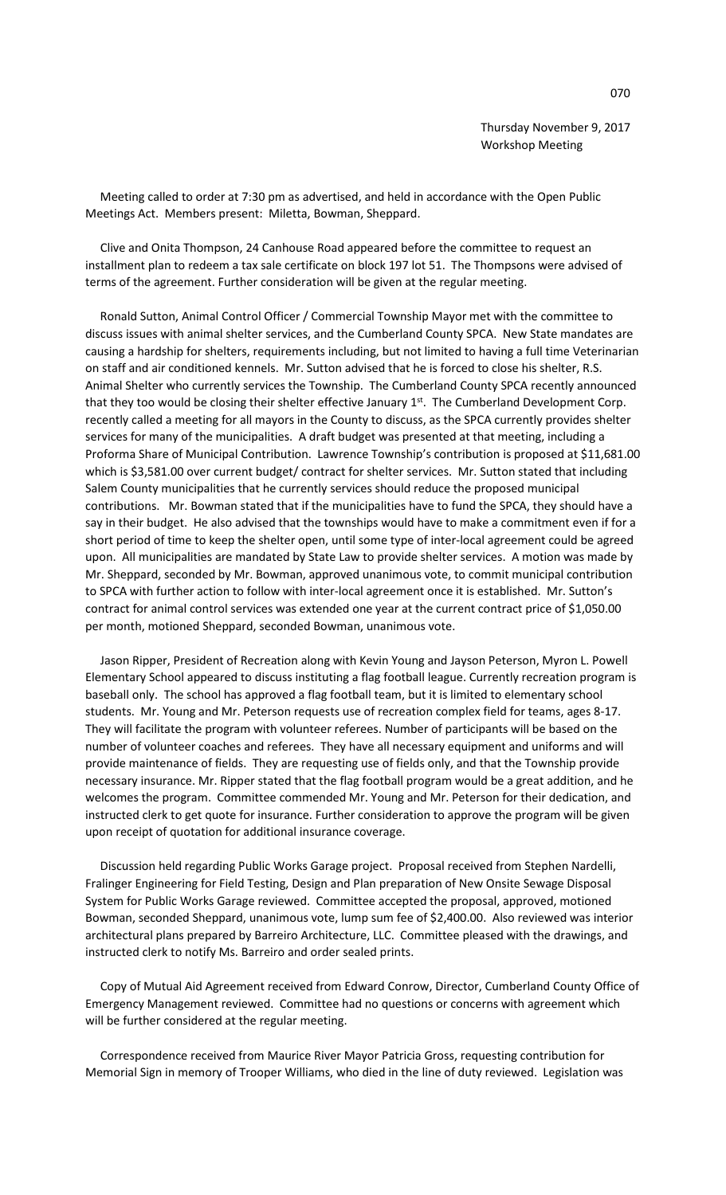Thursday November 9, 2017 Workshop Meeting

 Meeting called to order at 7:30 pm as advertised, and held in accordance with the Open Public Meetings Act. Members present: Miletta, Bowman, Sheppard.

 Clive and Onita Thompson, 24 Canhouse Road appeared before the committee to request an installment plan to redeem a tax sale certificate on block 197 lot 51. The Thompsons were advised of terms of the agreement. Further consideration will be given at the regular meeting.

 Ronald Sutton, Animal Control Officer / Commercial Township Mayor met with the committee to discuss issues with animal shelter services, and the Cumberland County SPCA. New State mandates are causing a hardship for shelters, requirements including, but not limited to having a full time Veterinarian on staff and air conditioned kennels. Mr. Sutton advised that he is forced to close his shelter, R.S. Animal Shelter who currently services the Township. The Cumberland County SPCA recently announced that they too would be closing their shelter effective January 1st. The Cumberland Development Corp. recently called a meeting for all mayors in the County to discuss, as the SPCA currently provides shelter services for many of the municipalities. A draft budget was presented at that meeting, including a Proforma Share of Municipal Contribution. Lawrence Township's contribution is proposed at \$11,681.00 which is \$3,581.00 over current budget/ contract for shelter services. Mr. Sutton stated that including Salem County municipalities that he currently services should reduce the proposed municipal contributions. Mr. Bowman stated that if the municipalities have to fund the SPCA, they should have a say in their budget. He also advised that the townships would have to make a commitment even if for a short period of time to keep the shelter open, until some type of inter-local agreement could be agreed upon. All municipalities are mandated by State Law to provide shelter services. A motion was made by Mr. Sheppard, seconded by Mr. Bowman, approved unanimous vote, to commit municipal contribution to SPCA with further action to follow with inter-local agreement once it is established. Mr. Sutton's contract for animal control services was extended one year at the current contract price of \$1,050.00 per month, motioned Sheppard, seconded Bowman, unanimous vote.

 Jason Ripper, President of Recreation along with Kevin Young and Jayson Peterson, Myron L. Powell Elementary School appeared to discuss instituting a flag football league. Currently recreation program is baseball only. The school has approved a flag football team, but it is limited to elementary school students. Mr. Young and Mr. Peterson requests use of recreation complex field for teams, ages 8-17. They will facilitate the program with volunteer referees. Number of participants will be based on the number of volunteer coaches and referees. They have all necessary equipment and uniforms and will provide maintenance of fields. They are requesting use of fields only, and that the Township provide necessary insurance. Mr. Ripper stated that the flag football program would be a great addition, and he welcomes the program. Committee commended Mr. Young and Mr. Peterson for their dedication, and instructed clerk to get quote for insurance. Further consideration to approve the program will be given upon receipt of quotation for additional insurance coverage.

 Discussion held regarding Public Works Garage project. Proposal received from Stephen Nardelli, Fralinger Engineering for Field Testing, Design and Plan preparation of New Onsite Sewage Disposal System for Public Works Garage reviewed. Committee accepted the proposal, approved, motioned Bowman, seconded Sheppard, unanimous vote, lump sum fee of \$2,400.00. Also reviewed was interior architectural plans prepared by Barreiro Architecture, LLC. Committee pleased with the drawings, and instructed clerk to notify Ms. Barreiro and order sealed prints.

 Copy of Mutual Aid Agreement received from Edward Conrow, Director, Cumberland County Office of Emergency Management reviewed. Committee had no questions or concerns with agreement which will be further considered at the regular meeting.

 Correspondence received from Maurice River Mayor Patricia Gross, requesting contribution for Memorial Sign in memory of Trooper Williams, who died in the line of duty reviewed. Legislation was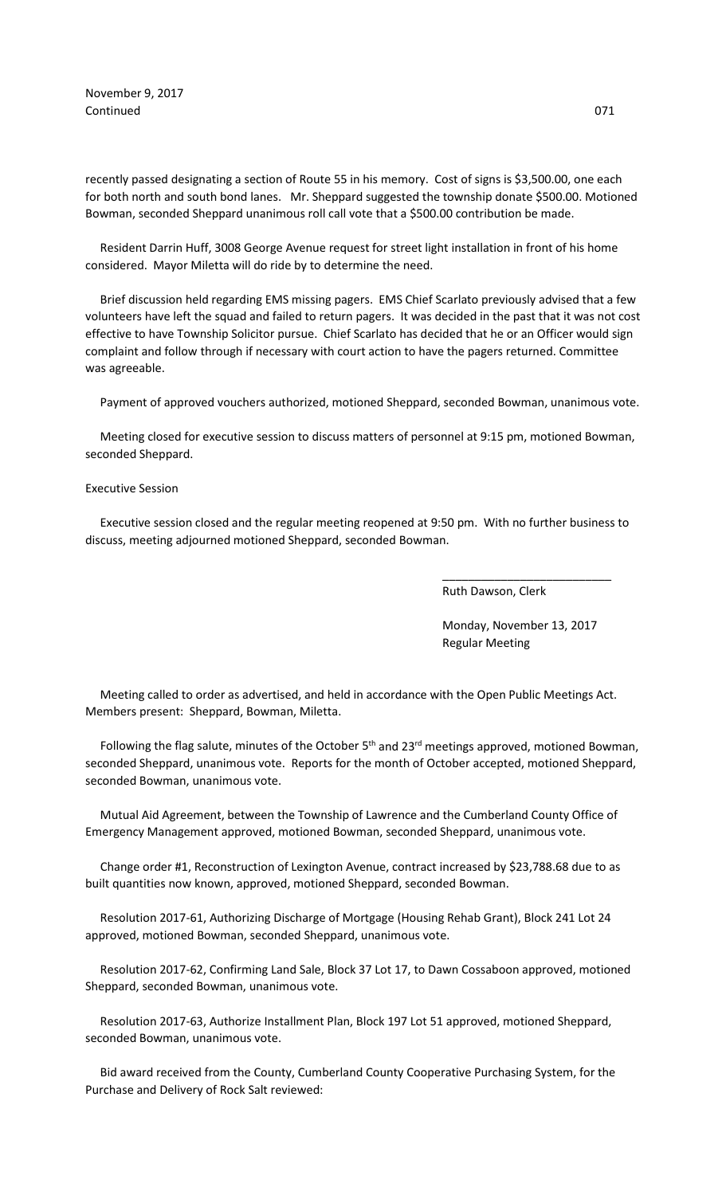November 9, 2017 Continued 071

recently passed designating a section of Route 55 in his memory. Cost of signs is \$3,500.00, one each for both north and south bond lanes. Mr. Sheppard suggested the township donate \$500.00. Motioned Bowman, seconded Sheppard unanimous roll call vote that a \$500.00 contribution be made.

 Resident Darrin Huff, 3008 George Avenue request for street light installation in front of his home considered. Mayor Miletta will do ride by to determine the need.

 Brief discussion held regarding EMS missing pagers. EMS Chief Scarlato previously advised that a few volunteers have left the squad and failed to return pagers. It was decided in the past that it was not cost effective to have Township Solicitor pursue. Chief Scarlato has decided that he or an Officer would sign complaint and follow through if necessary with court action to have the pagers returned. Committee was agreeable.

Payment of approved vouchers authorized, motioned Sheppard, seconded Bowman, unanimous vote.

 Meeting closed for executive session to discuss matters of personnel at 9:15 pm, motioned Bowman, seconded Sheppard.

## Executive Session

 Executive session closed and the regular meeting reopened at 9:50 pm. With no further business to discuss, meeting adjourned motioned Sheppard, seconded Bowman.

 $\overline{\phantom{a}}$  , and the contract of the contract of the contract of the contract of the contract of the contract of the contract of the contract of the contract of the contract of the contract of the contract of the contrac

Ruth Dawson, Clerk

 Monday, November 13, 2017 Regular Meeting

 Meeting called to order as advertised, and held in accordance with the Open Public Meetings Act. Members present: Sheppard, Bowman, Miletta.

Following the flag salute, minutes of the October 5<sup>th</sup> and 23<sup>rd</sup> meetings approved, motioned Bowman, seconded Sheppard, unanimous vote. Reports for the month of October accepted, motioned Sheppard, seconded Bowman, unanimous vote.

 Mutual Aid Agreement, between the Township of Lawrence and the Cumberland County Office of Emergency Management approved, motioned Bowman, seconded Sheppard, unanimous vote.

 Change order #1, Reconstruction of Lexington Avenue, contract increased by \$23,788.68 due to as built quantities now known, approved, motioned Sheppard, seconded Bowman.

 Resolution 2017-61, Authorizing Discharge of Mortgage (Housing Rehab Grant), Block 241 Lot 24 approved, motioned Bowman, seconded Sheppard, unanimous vote.

 Resolution 2017-62, Confirming Land Sale, Block 37 Lot 17, to Dawn Cossaboon approved, motioned Sheppard, seconded Bowman, unanimous vote.

 Resolution 2017-63, Authorize Installment Plan, Block 197 Lot 51 approved, motioned Sheppard, seconded Bowman, unanimous vote.

 Bid award received from the County, Cumberland County Cooperative Purchasing System, for the Purchase and Delivery of Rock Salt reviewed: